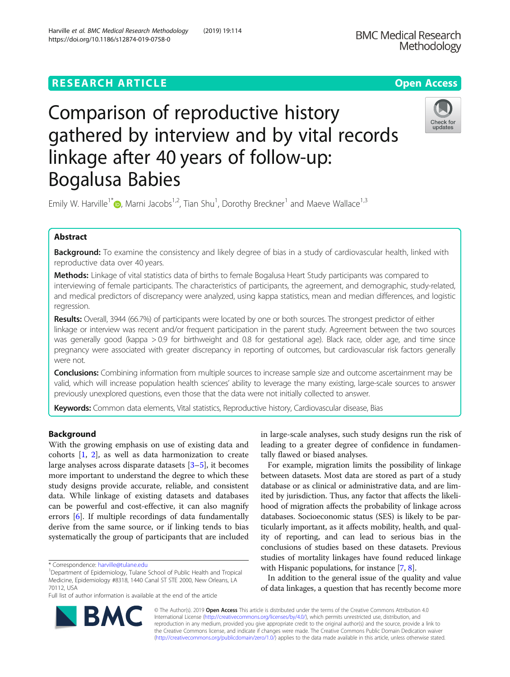# **RESEARCH ARTICLE Example 2018 12:30 THE Open Access**

# Comparison of reproductive history gathered by interview and by vital records linkage after 40 years of follow-up: Bogalusa Babies

Emily W. Harville<sup>1\*</sup> D[,](http://orcid.org/0000-0003-0319-0922) Marni Jacobs<sup>1,2</sup>, Tian Shu<sup>1</sup>, Dorothy Breckner<sup>1</sup> and Maeve Wallace<sup>1,3</sup>

# Abstract

Background: To examine the consistency and likely degree of bias in a study of cardiovascular health, linked with reproductive data over 40 years.

Methods: Linkage of vital statistics data of births to female Bogalusa Heart Study participants was compared to interviewing of female participants. The characteristics of participants, the agreement, and demographic, study-related, and medical predictors of discrepancy were analyzed, using kappa statistics, mean and median differences, and logistic regression.

Results: Overall, 3944 (66.7%) of participants were located by one or both sources. The strongest predictor of either linkage or interview was recent and/or frequent participation in the parent study. Agreement between the two sources was generally good (kappa > 0.9 for birthweight and 0.8 for gestational age). Black race, older age, and time since pregnancy were associated with greater discrepancy in reporting of outcomes, but cardiovascular risk factors generally were not.

Conclusions: Combining information from multiple sources to increase sample size and outcome ascertainment may be valid, which will increase population health sciences' ability to leverage the many existing, large-scale sources to answer previously unexplored questions, even those that the data were not initially collected to answer.

Keywords: Common data elements, Vital statistics, Reproductive history, Cardiovascular disease, Bias

# Background

With the growing emphasis on use of existing data and cohorts [[1,](#page-7-0) [2](#page-7-0)], as well as data harmonization to create large analyses across disparate datasets [\[3](#page-7-0)–[5](#page-7-0)], it becomes more important to understand the degree to which these study designs provide accurate, reliable, and consistent data. While linkage of existing datasets and databases can be powerful and cost-effective, it can also magnify errors [\[6](#page-7-0)]. If multiple recordings of data fundamentally derive from the same source, or if linking tends to bias systematically the group of participants that are included

\* Correspondence: [harville@tulane.edu](mailto:harville@tulane.edu) <sup>1</sup>

<sup>1</sup>Department of Epidemiology, Tulane School of Public Health and Tropical Medicine, Epidemiology #8318, 1440 Canal ST STE 2000, New Orleans, LA 70112, USA

Full list of author information is available at the end of the article

in large-scale analyses, such study designs run the risk of leading to a greater degree of confidence in fundamentally flawed or biased analyses.

For example, migration limits the possibility of linkage between datasets. Most data are stored as part of a study database or as clinical or administrative data, and are limited by jurisdiction. Thus, any factor that affects the likelihood of migration affects the probability of linkage across databases. Socioeconomic status (SES) is likely to be particularly important, as it affects mobility, health, and quality of reporting, and can lead to serious bias in the conclusions of studies based on these datasets. Previous studies of mortality linkages have found reduced linkage with Hispanic populations, for instance [\[7,](#page-7-0) [8](#page-7-0)].

In addition to the general issue of the quality and value of data linkages, a question that has recently become more

© The Author(s). 2019 Open Access This article is distributed under the terms of the Creative Commons Attribution 4.0 International License [\(http://creativecommons.org/licenses/by/4.0/](http://creativecommons.org/licenses/by/4.0/)), which permits unrestricted use, distribution, and reproduction in any medium, provided you give appropriate credit to the original author(s) and the source, provide a link to the Creative Commons license, and indicate if changes were made. The Creative Commons Public Domain Dedication waiver [\(http://creativecommons.org/publicdomain/zero/1.0/](http://creativecommons.org/publicdomain/zero/1.0/)) applies to the data made available in this article, unless otherwise stated.



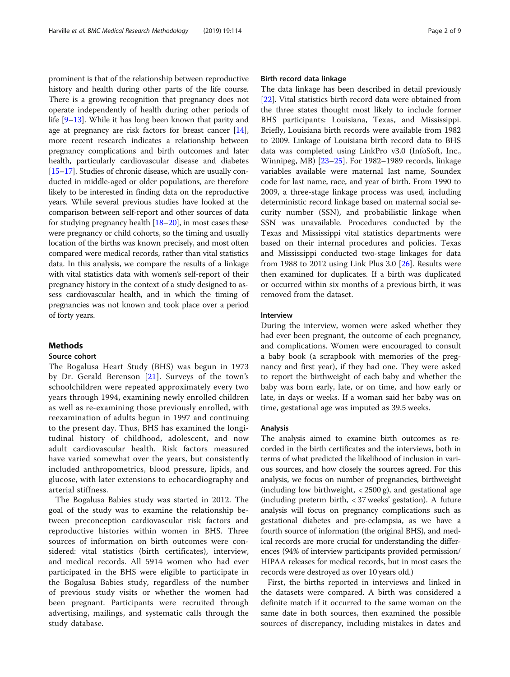prominent is that of the relationship between reproductive history and health during other parts of the life course. There is a growing recognition that pregnancy does not operate independently of health during other periods of life [\[9](#page-7-0)–[13](#page-7-0)]. While it has long been known that parity and age at pregnancy are risk factors for breast cancer [[14](#page-7-0)], more recent research indicates a relationship between pregnancy complications and birth outcomes and later health, particularly cardiovascular disease and diabetes [[15](#page-7-0)–[17\]](#page-7-0). Studies of chronic disease, which are usually conducted in middle-aged or older populations, are therefore likely to be interested in finding data on the reproductive years. While several previous studies have looked at the comparison between self-report and other sources of data for studying pregnancy health [\[18](#page-7-0)–[20](#page-7-0)], in most cases these were pregnancy or child cohorts, so the timing and usually location of the births was known precisely, and most often compared were medical records, rather than vital statistics data. In this analysis, we compare the results of a linkage with vital statistics data with women's self-report of their pregnancy history in the context of a study designed to assess cardiovascular health, and in which the timing of pregnancies was not known and took place over a period of forty years.

# Methods

# Source cohort

The Bogalusa Heart Study (BHS) was begun in 1973 by Dr. Gerald Berenson [[21\]](#page-7-0). Surveys of the town's schoolchildren were repeated approximately every two years through 1994, examining newly enrolled children as well as re-examining those previously enrolled, with reexamination of adults begun in 1997 and continuing to the present day. Thus, BHS has examined the longitudinal history of childhood, adolescent, and now adult cardiovascular health. Risk factors measured have varied somewhat over the years, but consistently included anthropometrics, blood pressure, lipids, and glucose, with later extensions to echocardiography and arterial stiffness.

The Bogalusa Babies study was started in 2012. The goal of the study was to examine the relationship between preconception cardiovascular risk factors and reproductive histories within women in BHS. Three sources of information on birth outcomes were considered: vital statistics (birth certificates), interview, and medical records. All 5914 women who had ever participated in the BHS were eligible to participate in the Bogalusa Babies study, regardless of the number of previous study visits or whether the women had been pregnant. Participants were recruited through advertising, mailings, and systematic calls through the study database.

#### Birth record data linkage

The data linkage has been described in detail previously [[22\]](#page-7-0). Vital statistics birth record data were obtained from the three states thought most likely to include former BHS participants: Louisiana, Texas, and Mississippi. Briefly, Louisiana birth records were available from 1982 to 2009. Linkage of Louisiana birth record data to BHS data was completed using LinkPro v3.0 (InfoSoft, Inc., Winnipeg, MB) [[23](#page-7-0)–[25](#page-7-0)]. For 1982–1989 records, linkage variables available were maternal last name, Soundex code for last name, race, and year of birth. From 1990 to 2009, a three-stage linkage process was used, including deterministic record linkage based on maternal social security number (SSN), and probabilistic linkage when SSN was unavailable. Procedures conducted by the Texas and Mississippi vital statistics departments were based on their internal procedures and policies. Texas and Mississippi conducted two-stage linkages for data from 1988 to 2012 using Link Plus 3.0 [[26\]](#page-7-0). Results were then examined for duplicates. If a birth was duplicated or occurred within six months of a previous birth, it was removed from the dataset.

# Interview

During the interview, women were asked whether they had ever been pregnant, the outcome of each pregnancy, and complications. Women were encouraged to consult a baby book (a scrapbook with memories of the pregnancy and first year), if they had one. They were asked to report the birthweight of each baby and whether the baby was born early, late, or on time, and how early or late, in days or weeks. If a woman said her baby was on time, gestational age was imputed as 39.5 weeks.

#### Analysis

The analysis aimed to examine birth outcomes as recorded in the birth certificates and the interviews, both in terms of what predicted the likelihood of inclusion in various sources, and how closely the sources agreed. For this analysis, we focus on number of pregnancies, birthweight (including low birthweight, < 2500 g), and gestational age (including preterm birth, < 37 weeks' gestation). A future analysis will focus on pregnancy complications such as gestational diabetes and pre-eclampsia, as we have a fourth source of information (the original BHS), and medical records are more crucial for understanding the differences (94% of interview participants provided permission/ HIPAA releases for medical records, but in most cases the records were destroyed as over 10 years old.)

First, the births reported in interviews and linked in the datasets were compared. A birth was considered a definite match if it occurred to the same woman on the same date in both sources, then examined the possible sources of discrepancy, including mistakes in dates and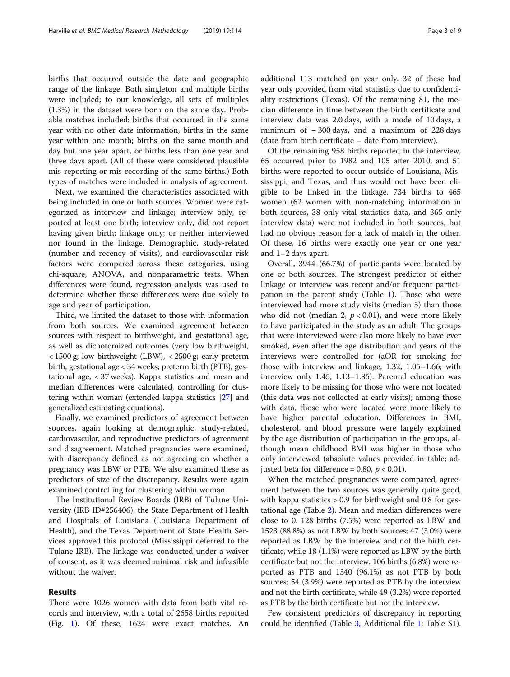births that occurred outside the date and geographic range of the linkage. Both singleton and multiple births were included; to our knowledge, all sets of multiples (1.3%) in the dataset were born on the same day. Probable matches included: births that occurred in the same year with no other date information, births in the same year within one month; births on the same month and day but one year apart, or births less than one year and three days apart. (All of these were considered plausible mis-reporting or mis-recording of the same births.) Both types of matches were included in analysis of agreement.

Next, we examined the characteristics associated with being included in one or both sources. Women were categorized as interview and linkage; interview only, reported at least one birth; interview only, did not report having given birth; linkage only; or neither interviewed nor found in the linkage. Demographic, study-related (number and recency of visits), and cardiovascular risk factors were compared across these categories, using chi-square, ANOVA, and nonparametric tests. When differences were found, regression analysis was used to determine whether those differences were due solely to age and year of participation.

Third, we limited the dataset to those with information from both sources. We examined agreement between sources with respect to birthweight, and gestational age, as well as dichotomized outcomes (very low birthweight,  $<$  1500 g; low birthweight (LBW),  $<$  2500 g; early preterm birth, gestational age < 34 weeks; preterm birth (PTB), gestational age, < 37 weeks). Kappa statistics and mean and median differences were calculated, controlling for clustering within woman (extended kappa statistics [\[27\]](#page-7-0) and generalized estimating equations).

Finally, we examined predictors of agreement between sources, again looking at demographic, study-related, cardiovascular, and reproductive predictors of agreement and disagreement. Matched pregnancies were examined, with discrepancy defined as not agreeing on whether a pregnancy was LBW or PTB. We also examined these as predictors of size of the discrepancy. Results were again examined controlling for clustering within woman.

The Institutional Review Boards (IRB) of Tulane University (IRB ID#256406), the State Department of Health and Hospitals of Louisiana (Louisiana Department of Health), and the Texas Department of State Health Services approved this protocol (Mississippi deferred to the Tulane IRB). The linkage was conducted under a waiver of consent, as it was deemed minimal risk and infeasible without the waiver.

# Results

There were 1026 women with data from both vital records and interview, with a total of 2658 births reported (Fig. [1](#page-3-0)). Of these, 1624 were exact matches. An additional 113 matched on year only. 32 of these had year only provided from vital statistics due to confidentiality restrictions (Texas). Of the remaining 81, the median difference in time between the birth certificate and interview data was 2.0 days, with a mode of 10 days, a minimum of − 300 days, and a maximum of 228 days (date from birth certificate – date from interview).

Of the remaining 958 births reported in the interview, 65 occurred prior to 1982 and 105 after 2010, and 51 births were reported to occur outside of Louisiana, Mississippi, and Texas, and thus would not have been eligible to be linked in the linkage. 734 births to 465 women (62 women with non-matching information in both sources, 38 only vital statistics data, and 365 only interview data) were not included in both sources, but had no obvious reason for a lack of match in the other. Of these, 16 births were exactly one year or one year and 1–2 days apart.

Overall, 3944 (66.7%) of participants were located by one or both sources. The strongest predictor of either linkage or interview was recent and/or frequent participation in the parent study (Table [1\)](#page-4-0). Those who were interviewed had more study visits (median 5) than those who did not (median 2,  $p < 0.01$ ), and were more likely to have participated in the study as an adult. The groups that were interviewed were also more likely to have ever smoked, even after the age distribution and years of the interviews were controlled for (aOR for smoking for those with interview and linkage, 1.32, 1.05–1.66; with interview only 1.45, 1.13–1.86). Parental education was more likely to be missing for those who were not located (this data was not collected at early visits); among those with data, those who were located were more likely to have higher parental education. Differences in BMI, cholesterol, and blood pressure were largely explained by the age distribution of participation in the groups, although mean childhood BMI was higher in those who only interviewed (absolute values provided in table; adjusted beta for difference = 0.80,  $p < 0.01$ ).

When the matched pregnancies were compared, agreement between the two sources was generally quite good, with kappa statistics  $> 0.9$  for birthweight and 0.8 for gestational age (Table [2\)](#page-5-0). Mean and median differences were close to 0. 128 births (7.5%) were reported as LBW and 1523 (88.8%) as not LBW by both sources; 47 (3.0%) were reported as LBW by the interview and not the birth certificate, while 18 (1.1%) were reported as LBW by the birth certificate but not the interview. 106 births (6.8%) were reported as PTB and 1340 (96.1%) as not PTB by both sources; 54 (3.9%) were reported as PTB by the interview and not the birth certificate, while 49 (3.2%) were reported as PTB by the birth certificate but not the interview.

Few consistent predictors of discrepancy in reporting could be identified (Table [3,](#page-5-0) Additional file [1](#page-6-0): Table S1).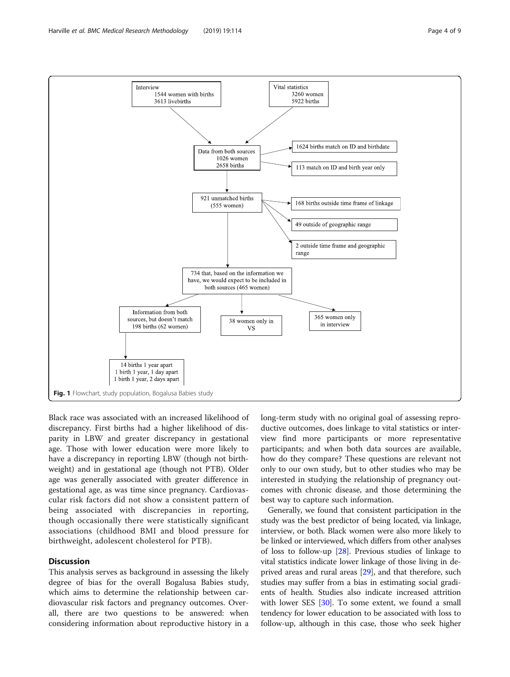<span id="page-3-0"></span>

Black race was associated with an increased likelihood of discrepancy. First births had a higher likelihood of disparity in LBW and greater discrepancy in gestational age. Those with lower education were more likely to have a discrepancy in reporting LBW (though not birthweight) and in gestational age (though not PTB). Older age was generally associated with greater difference in gestational age, as was time since pregnancy. Cardiovascular risk factors did not show a consistent pattern of being associated with discrepancies in reporting, though occasionally there were statistically significant associations (childhood BMI and blood pressure for birthweight, adolescent cholesterol for PTB).

# **Discussion**

This analysis serves as background in assessing the likely degree of bias for the overall Bogalusa Babies study, which aims to determine the relationship between cardiovascular risk factors and pregnancy outcomes. Overall, there are two questions to be answered: when considering information about reproductive history in a long-term study with no original goal of assessing reproductive outcomes, does linkage to vital statistics or interview find more participants or more representative participants; and when both data sources are available, how do they compare? These questions are relevant not only to our own study, but to other studies who may be interested in studying the relationship of pregnancy outcomes with chronic disease, and those determining the best way to capture such information.

Generally, we found that consistent participation in the study was the best predictor of being located, via linkage, interview, or both. Black women were also more likely to be linked or interviewed, which differs from other analyses of loss to follow-up [\[28\]](#page-7-0). Previous studies of linkage to vital statistics indicate lower linkage of those living in deprived areas and rural areas [[29](#page-7-0)], and that therefore, such studies may suffer from a bias in estimating social gradients of health. Studies also indicate increased attrition with lower SES [\[30\]](#page-8-0). To some extent, we found a small tendency for lower education to be associated with loss to follow-up, although in this case, those who seek higher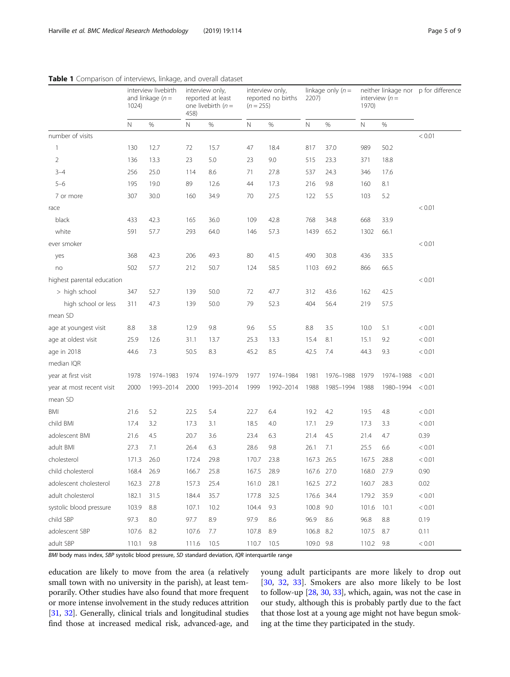|                            | interview livebirth<br>and linkage $(n =$<br>1024) |           | interview only,<br>reported at least<br>one livebirth $(n=$<br>458) |           | interview only,<br>reported no births<br>$(n = 255)$ |           | linkage only $(n=$<br>2207) |           | neither linkage nor p for difference<br>interview $(n =$<br>1970) |           |        |
|----------------------------|----------------------------------------------------|-----------|---------------------------------------------------------------------|-----------|------------------------------------------------------|-----------|-----------------------------|-----------|-------------------------------------------------------------------|-----------|--------|
|                            | $\mathbb N$                                        | %         | $\mathbb N$                                                         | $\%$      | $\mathbb N$                                          | $\%$      | $\mathsf N$                 | $\%$      | $\mathsf{N}$                                                      | $\%$      |        |
| number of visits           |                                                    |           |                                                                     |           |                                                      |           |                             |           |                                                                   |           | < 0.01 |
| -1                         | 130                                                | 12.7      | 72                                                                  | 15.7      | 47                                                   | 18.4      | 817                         | 37.0      | 989                                                               | 50.2      |        |
| $\overline{2}$             | 136                                                | 13.3      | 23                                                                  | 5.0       | 23                                                   | 9.0       | 515                         | 23.3      | 371                                                               | 18.8      |        |
| $3 - 4$                    | 256                                                | 25.0      | 114                                                                 | 8.6       | 71                                                   | 27.8      | 537                         | 24.3      | 346                                                               | 17.6      |        |
| $5 - 6$                    | 195                                                | 19.0      | 89                                                                  | 12.6      | 44                                                   | 17.3      | 216                         | 9.8       | 160                                                               | 8.1       |        |
| 7 or more                  | 307                                                | 30.0      | 160                                                                 | 34.9      | 70                                                   | 27.5      | 122                         | 5.5       | 103                                                               | 5.2       |        |
| race                       |                                                    |           |                                                                     |           |                                                      |           |                             |           |                                                                   |           | < 0.01 |
| black                      | 433                                                | 42.3      | 165                                                                 | 36.0      | 109                                                  | 42.8      | 768                         | 34.8      | 668                                                               | 33.9      |        |
| white                      | 591                                                | 57.7      | 293                                                                 | 64.0      | 146                                                  | 57.3      | 1439                        | 65.2      | 1302                                                              | 66.1      |        |
| ever smoker                |                                                    |           |                                                                     |           |                                                      |           |                             |           |                                                                   |           | < 0.01 |
| yes                        | 368                                                | 42.3      | 206                                                                 | 49.3      | 80                                                   | 41.5      | 490                         | 30.8      | 436                                                               | 33.5      |        |
| no                         | 502                                                | 57.7      | 212                                                                 | 50.7      | 124                                                  | 58.5      | 1103                        | 69.2      | 866                                                               | 66.5      |        |
| highest parental education |                                                    |           |                                                                     |           |                                                      |           |                             |           |                                                                   |           | < 0.01 |
| > high school              | 347                                                | 52.7      | 139                                                                 | 50.0      | 72                                                   | 47.7      | 312                         | 43.6      | 162                                                               | 42.5      |        |
| high school or less        | 311                                                | 47.3      | 139                                                                 | 50.0      | 79                                                   | 52.3      | 404                         | 56.4      | 219                                                               | 57.5      |        |
| mean SD                    |                                                    |           |                                                                     |           |                                                      |           |                             |           |                                                                   |           |        |
| age at youngest visit      | 8.8                                                | 3.8       | 12.9                                                                | 9.8       | 9.6                                                  | 5.5       | 8.8                         | 3.5       | 10.0                                                              | 5.1       | < 0.01 |
| age at oldest visit        | 25.9                                               | 12.6      | 31.1                                                                | 13.7      | 25.3                                                 | 13.3      | 15.4                        | 8.1       | 15.1                                                              | 9.2       | < 0.01 |
| age in 2018                | 44.6                                               | 7.3       | 50.5                                                                | 8.3       | 45.2                                                 | 8.5       | 42.5                        | 7.4       | 44.3                                                              | 9.3       | < 0.01 |
| median IQR                 |                                                    |           |                                                                     |           |                                                      |           |                             |           |                                                                   |           |        |
| year at first visit        | 1978                                               | 1974-1983 | 1974                                                                | 1974-1979 | 1977                                                 | 1974-1984 | 1981                        | 1976-1988 | 1979                                                              | 1974-1988 | < 0.01 |
| year at most recent visit  | 2000                                               | 1993-2014 | 2000                                                                | 1993-2014 | 1999                                                 | 1992-2014 | 1988                        | 1985-1994 | 1988                                                              | 1980-1994 | < 0.01 |
| mean SD                    |                                                    |           |                                                                     |           |                                                      |           |                             |           |                                                                   |           |        |
| BMI                        | 21.6                                               | 5.2       | 22.5                                                                | 5.4       | 22.7                                                 | 6.4       | 19.2                        | 4.2       | 19.5                                                              | 4.8       | < 0.01 |
| child BMI                  | 17.4                                               | 3.2       | 17.3                                                                | 3.1       | 18.5                                                 | 4.0       | 17.1                        | 2.9       | 17.3                                                              | 3.3       | < 0.01 |
| adolescent BMI             | 21.6                                               | 4.5       | 20.7                                                                | 3.6       | 23.4                                                 | 6.3       | 21.4                        | 4.5       | 21.4                                                              | 4.7       | 0.39   |
| adult BMI                  | 27.3                                               | 7.1       | 26.4                                                                | 6.3       | 28.6                                                 | 9.8       | 26.1                        | 7.1       | 25.5                                                              | 6.6       | < 0.01 |
| cholesterol                | 171.3                                              | 26.0      | 172.4                                                               | 29.8      | 170.7                                                | 23.8      | 167.3 26.5                  |           | 167.5                                                             | 28.8      | < 0.01 |
| child cholesterol          | 168.4                                              | 26.9      | 166.7                                                               | 25.8      | 167.5                                                | 28.9      | 167.6 27.0                  |           | 168.0                                                             | 27.9      | 0.90   |
| adolescent cholesterol     | 162.3                                              | 27.8      | 157.3                                                               | 25.4      | 161.0                                                | 28.1      | 162.5 27.2                  |           | 160.7                                                             | 28.3      | 0.02   |
| adult cholesterol          | 182.1                                              | 31.5      | 184.4                                                               | 35.7      | 177.8                                                | 32.5      | 176.6 34.4                  |           | 179.2                                                             | 35.9      | < 0.01 |
| systolic blood pressure    | 103.9                                              | 8.8       | 107.1                                                               | 10.2      | 104.4                                                | 9.3       | 100.8 9.0                   |           | 101.6                                                             | 10.1      | < 0.01 |
| child SBP                  | 97.3                                               | 8.0       | 97.7                                                                | 8.9       | 97.9                                                 | 8.6       | 96.9                        | 8.6       | 96.8                                                              | 8.8       | 0.19   |
| adolescent SBP             | 107.6                                              | 8.2       | 107.6                                                               | 7.7       | 107.8                                                | 8.9       | 106.8 8.2                   |           | 107.5                                                             | 8.7       | 0.11   |
| adult SBP                  | 110.1                                              | 9.8       | 111.6                                                               | 10.5      | 110.7                                                | 10.5      | 109.0 9.8                   |           | 110.2 9.8                                                         |           | < 0.01 |

<span id="page-4-0"></span>Table 1 Comparison of interviews, linkage, and overall dataset

BMI body mass index, SBP systolic blood pressure, SD standard deviation, IQR interquartile range

education are likely to move from the area (a relatively small town with no university in the parish), at least temporarily. Other studies have also found that more frequent or more intense involvement in the study reduces attrition [[31](#page-8-0), [32\]](#page-8-0). Generally, clinical trials and longitudinal studies find those at increased medical risk, advanced-age, and young adult participants are more likely to drop out [[30,](#page-8-0) [32](#page-8-0), [33](#page-8-0)]. Smokers are also more likely to be lost to follow-up [\[28,](#page-7-0) [30](#page-8-0), [33\]](#page-8-0), which, again, was not the case in our study, although this is probably partly due to the fact that those lost at a young age might not have begun smoking at the time they participated in the study.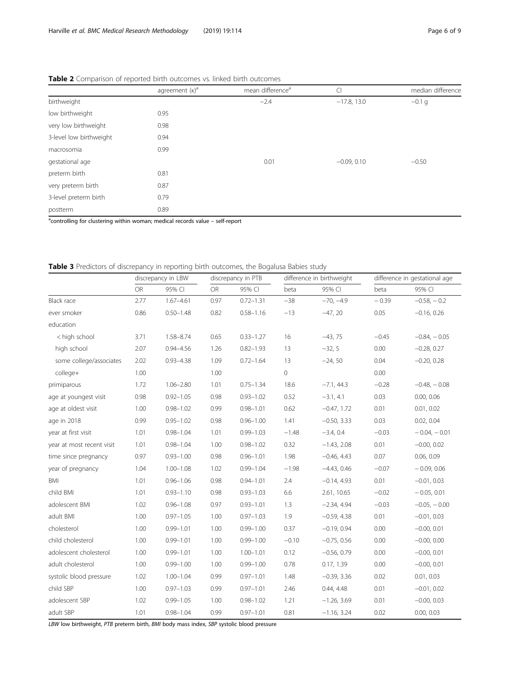|                         | agreement $(k)^a$                              | mean difference <sup>a</sup> |               | median difference |
|-------------------------|------------------------------------------------|------------------------------|---------------|-------------------|
| birthweight             |                                                | $-2.4$                       | $-17.8, 13.0$ | $-0.1$ q          |
| low birthweight         | 0.95                                           |                              |               |                   |
| very low birthweight    | 0.98                                           |                              |               |                   |
| 3-level low birthweight | 0.94                                           |                              |               |                   |
| macrosomia              | 0.99                                           |                              |               |                   |
| gestational age         |                                                | 0.01                         | $-0.09, 0.10$ | $-0.50$           |
| preterm birth           | 0.81                                           |                              |               |                   |
| very preterm birth      | 0.87                                           |                              |               |                   |
| 3-level preterm birth   | 0.79                                           |                              |               |                   |
| postterm                | 0.89                                           |                              |               |                   |
|                         | .<br>$\sim$ $\sim$ $\sim$ $\sim$ $\sim$ $\sim$ | $\sim$                       |               |                   |

<span id="page-5-0"></span>Table 2 Comparison of reported birth outcomes vs. linked birth outcomes

<sup>a</sup>controlling for clustering within woman; medical records value – self-report

Table 3 Predictors of discrepancy in reporting birth outcomes, the Bogalusa Babies study

|                           | discrepancy in LBW |               | discrepancy in PTB |               | difference in birthweight |               |         | difference in gestational age |  |
|---------------------------|--------------------|---------------|--------------------|---------------|---------------------------|---------------|---------|-------------------------------|--|
|                           | <b>OR</b>          | 95% CI        | OR                 | 95% CI        | beta                      | 95% CI        | beta    | 95% CI                        |  |
| Black race                | 2.77               | $1.67 - 4.61$ | 0.97               | $0.72 - 1.31$ | $-38$                     | $-70, -4.9$   | $-0.39$ | $-0.58, -0.2$                 |  |
| ever smoker               | 0.86               | $0.50 - 1.48$ | 0.82               | $0.58 - 1.16$ | $-13$                     | $-47, 20$     | 0.05    | $-0.16, 0.26$                 |  |
| education                 |                    |               |                    |               |                           |               |         |                               |  |
| < high school             | 3.71               | 1.58-8.74     | 0.65               | $0.33 - 1.27$ | 16                        | $-43, 75$     | $-0.45$ | $-0.84, -0.05$                |  |
| high school               | 2.07               | $0.94 - 4.56$ | 1.26               | $0.82 - 1.93$ | 13                        | $-32, 5$      | 0.00    | $-0.28, 0.27$                 |  |
| some college/associates   | 2.02               | $0.93 - 4.38$ | 1.09               | $0.72 - 1.64$ | 13                        | $-24, 50$     | 0.04    | $-0.20, 0.28$                 |  |
| college+                  | 1.00               |               | 1.00               |               | $\circ$                   |               | 0.00    |                               |  |
| primiparous               | 1.72               | $1.06 - 2.80$ | 1.01               | $0.75 - 1.34$ | 18.6                      | $-7.1, 44.3$  | $-0.28$ | $-0.48, -0.08$                |  |
| age at youngest visit     | 0.98               | $0.92 - 1.05$ | 0.98               | $0.93 - 1.02$ | 0.52                      | $-3.1, 4.1$   | 0.03    | 0.00, 0.06                    |  |
| age at oldest visit       | 1.00               | $0.98 - 1.02$ | 0.99               | $0.98 - 1.01$ | 0.62                      | $-0.47, 1.72$ | 0.01    | 0.01, 0.02                    |  |
| age in 2018               | 0.99               | $0.95 - 1.02$ | 0.98               | $0.96 - 1.00$ | 1.41                      | $-0.50, 3.33$ | 0.03    | 0.02, 0.04                    |  |
| year at first visit       | 1.01               | $0.98 - 1.04$ | 1.01               | $0.99 - 1.03$ | $-1.48$                   | $-3.4, 0.4$   | $-0.03$ | $-0.04, -0.01$                |  |
| year at most recent visit | 1.01               | $0.98 - 1.04$ | 1.00               | $0.98 - 1.02$ | 0.32                      | $-1.43, 2.08$ | 0.01    | $-0.00, 0.02$                 |  |
| time since pregnancy      | 0.97               | $0.93 - 1.00$ | 0.98               | $0.96 - 1.01$ | 1.98                      | $-0.46, 4.43$ | 0.07    | 0.06, 0.09                    |  |
| year of pregnancy         | 1.04               | $1.00 - 1.08$ | 1.02               | $0.99 - 1.04$ | $-1.98$                   | $-4.43, 0.46$ | $-0.07$ | $-0.09, 0.06$                 |  |
| BMI                       | 1.01               | $0.96 - 1.06$ | 0.98               | $0.94 - 1.01$ | 2.4                       | $-0.14, 4.93$ | 0.01    | $-0.01, 0.03$                 |  |
| child BMI                 | 1.01               | $0.93 - 1.10$ | 0.98               | $0.93 - 1.03$ | 6.6                       | 2.61, 10.65   | $-0.02$ | $-0.05, 0.01$                 |  |
| adolescent BMI            | 1.02               | $0.96 - 1.08$ | 0.97               | $0.93 - 1.01$ | 1.3                       | $-2.34, 4.94$ | $-0.03$ | $-0.05, -0.00$                |  |
| adult BMI                 | 1.00               | $0.97 - 1.05$ | 1.00               | $0.97 - 1.03$ | 1.9                       | $-0.59, 4.38$ | 0.01    | $-0.01, 0.03$                 |  |
| cholesterol               | 1.00               | $0.99 - 1.01$ | 1.00               | $0.99 - 1.00$ | 0.37                      | $-0.19, 0.94$ | 0.00    | $-0.00, 0.01$                 |  |
| child cholesterol         | 1.00               | $0.99 - 1.01$ | 1.00               | $0.99 - 1.00$ | $-0.10$                   | $-0.75, 0.56$ | 0.00    | $-0.00, 0.00$                 |  |
| adolescent cholesterol    | 1.00               | $0.99 - 1.01$ | 1.00               | $1.00 - 1.01$ | 0.12                      | $-0.56, 0.79$ | 0.00    | $-0.00, 0.01$                 |  |
| adult cholesterol         | 1.00               | $0.99 - 1.00$ | 1.00               | $0.99 - 1.00$ | 0.78                      | 0.17, 1.39    | 0.00    | $-0.00, 0.01$                 |  |
| systolic blood pressure   | 1.02               | $1.00 - 1.04$ | 0.99               | $0.97 - 1.01$ | 1.48                      | $-0.39, 3.36$ | 0.02    | 0.01, 0.03                    |  |
| child SBP                 | 1.00               | $0.97 - 1.03$ | 0.99               | $0.97 - 1.01$ | 2.46                      | 0.44, 4.48    | 0.01    | $-0.01, 0.02$                 |  |
| adolescent SBP            | 1.02               | $0.99 - 1.05$ | 1.00               | $0.98 - 1.02$ | 1.21                      | $-1.26, 3.69$ | 0.01    | $-0.00, 0.03$                 |  |
| adult SBP                 | 1.01               | $0.98 - 1.04$ | 0.99               | $0.97 - 1.01$ | 0.81                      | $-1.16, 3.24$ | 0.02    | 0.00, 0.03                    |  |

LBW low birthweight, PTB preterm birth, BMI body mass index, SBP systolic blood pressure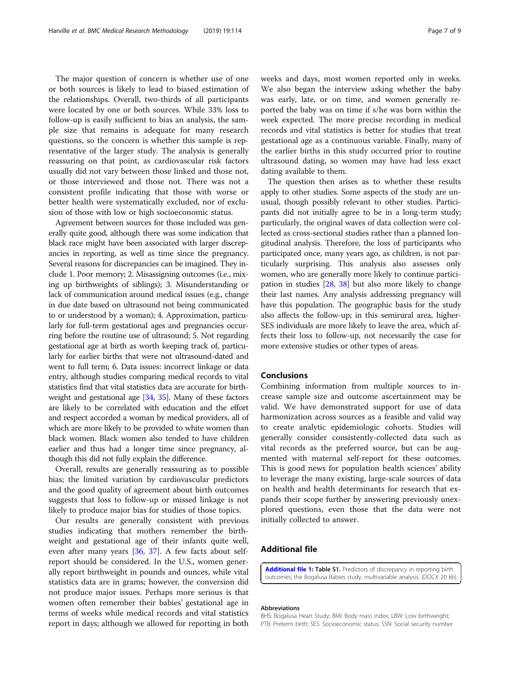<span id="page-6-0"></span>The major question of concern is whether use of one or both sources is likely to lead to biased estimation of the relationships. Overall, two-thirds of all participants were located by one or both sources. While 33% loss to follow-up is easily sufficient to bias an analysis, the sample size that remains is adequate for many research questions, so the concern is whether this sample is representative of the larger study. The analysis is generally reassuring on that point, as cardiovascular risk factors usually did not vary between those linked and those not, or those interviewed and those not. There was not a consistent profile indicating that those with worse or better health were systematically excluded, nor of exclusion of those with low or high socioeconomic status.

Agreement between sources for those included was generally quite good, although there was some indication that black race might have been associated with larger discrepancies in reporting, as well as time since the pregnancy. Several reasons for discrepancies can be imagined. They include 1. Poor memory; 2. Misassigning outcomes (i.e., mixing up birthweights of siblings); 3. Misunderstanding or lack of communication around medical issues (e.g., change in due date based on ultrasound not being communicated to or understood by a woman); 4. Approximation, particularly for full-term gestational ages and pregnancies occurring before the routine use of ultrasound; 5. Not regarding gestational age at birth as worth keeping track of, particularly for earlier births that were not ultrasound-dated and went to full term; 6. Data issues: incorrect linkage or data entry, although studies comparing medical records to vital statistics find that vital statistics data are accurate for birthweight and gestational age [[34](#page-8-0), [35](#page-8-0)]. Many of these factors are likely to be correlated with education and the effort and respect accorded a woman by medical providers, all of which are more likely to be provided to white women than black women. Black women also tended to have children earlier and thus had a longer time since pregnancy, although this did not fully explain the difference.

Overall, results are generally reassuring as to possible bias; the limited variation by cardiovascular predictors and the good quality of agreement about birth outcomes suggests that loss to follow-up or missed linkage is not likely to produce major bias for studies of those topics.

Our results are generally consistent with previous studies indicating that mothers remember the birthweight and gestational age of their infants quite well, even after many years [\[36](#page-8-0), [37\]](#page-8-0). A few facts about selfreport should be considered. In the U.S., women generally report birthweight in pounds and ounces, while vital statistics data are in grams; however, the conversion did not produce major issues. Perhaps more serious is that women often remember their babies' gestational age in terms of weeks while medical records and vital statistics report in days; although we allowed for reporting in both weeks and days, most women reported only in weeks. We also began the interview asking whether the baby was early, late, or on time, and women generally reported the baby was on time if s/he was born within the week expected. The more precise recording in medical records and vital statistics is better for studies that treat gestational age as a continuous variable. Finally, many of the earlier births in this study occurred prior to routine ultrasound dating, so women may have had less exact dating available to them.

The question then arises as to whether these results apply to other studies. Some aspects of the study are unusual, though possibly relevant to other studies. Participants did not initially agree to be in a long-term study; particularly, the original waves of data collection were collected as cross-sectional studies rather than a planned longitudinal analysis. Therefore, the loss of participants who participated once, many years ago, as children, is not particularly surprising. This analysis also assesses only women, who are generally more likely to continue participation in studies [\[28,](#page-7-0) [38](#page-8-0)] but also more likely to change their last names. Any analysis addressing pregnancy will have this population. The geographic basis for the study also affects the follow-up; in this semirural area, higher-SES individuals are more likely to leave the area, which affects their loss to follow-up, not necessarily the case for more extensive studies or other types of areas.

#### Conclusions

Combining information from multiple sources to increase sample size and outcome ascertainment may be valid. We have demonstrated support for use of data harmonization across sources as a feasible and valid way to create analytic epidemiologic cohorts. Studies will generally consider consistently-collected data such as vital records as the preferred source, but can be augmented with maternal self-report for these outcomes. This is good news for population health sciences' ability to leverage the many existing, large-scale sources of data on health and health determinants for research that expands their scope further by answering previously unexplored questions, even those that the data were not initially collected to answer.

# Additional file

[Additional file 1:](https://doi.org/10.1186/s12874-019-0758-0) Table S1. Predictors of discrepancy in reporting birth outcomes, the Bogalusa Babies study, multivariable analysis. (DOCX 20 kb)

#### Abbreviations

BHS: Bogalusa Heart Study; BMI: Body mass index; LBW: Low birthweight; PTB: Preterm birth; SES: Socioeconomic status; SSN: Social security number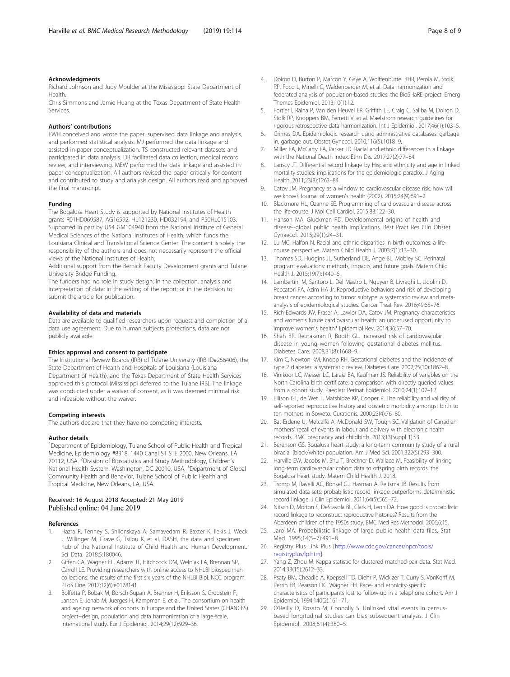#### <span id="page-7-0"></span>Acknowledgments

Richard Johnson and Judy Moulder at the Mississippi State Department of Health.

Chris Simmons and Jamie Huang at the Texas Department of State Health Services.

#### Authors' contributions

EWH conceived and wrote the paper, supervised data linkage and analysis, and performed statistical analysis. MJ performed the data linkage and assisted in paper conceptualization. TS constructed relevant datasets and participated in data analysis. DB facilitated data collection, medical record review, and interviewing. MEW performed the data linkage and assisted in paper conceptualization. All authors revised the paper critically for content and contributed to study and analysis design. All authors read and approved the final manuscript.

#### Funding

The Bogalusa Heart Study is supported by National Institutes of Health grants R01HD069587, AG16592, HL121230, HD032194, and P50HL015103. Supported in part by U54 GM104940 from the National Institute of General Medical Sciences of the National Institutes of Health, which funds the Louisiana Clinical and Translational Science Center. The content is solely the responsibility of the authors and does not necessarily represent the official views of the National Institutes of Health.

Additional support from the Bernick Faculty Development grants and Tulane University Bridge Funding.

The funders had no role in study design; in the collection, analysis and interpretation of data; in the writing of the report; or in the decision to submit the article for publication.

#### Availability of data and materials

Data are available to qualified researchers upon request and completion of a data use agreement. Due to human subjects protections, data are not publicly available.

#### Ethics approval and consent to participate

The Institutional Review Boards (IRB) of Tulane University (IRB ID#256406), the State Department of Health and Hospitals of Louisiana (Louisiana Department of Health), and the Texas Department of State Health Services approved this protocol (Mississippi deferred to the Tulane IRB). The linkage was conducted under a waiver of consent, as it was deemed minimal risk and infeasible without the waiver.

# Competing interests

The authors declare that they have no competing interests.

#### Author details

<sup>1</sup>Department of Epidemiology, Tulane School of Public Health and Tropical Medicine, Epidemiology #8318, 1440 Canal ST STE 2000, New Orleans, LA 70112, USA. <sup>2</sup> Division of Biostatistics and Study Methodology, Children's National Health System, Washington, DC 20010, USA. <sup>3</sup>Department of Global Community Health and Behavior, Tulane School of Public Health and Tropical Medicine, New Orleans, LA, USA.

# Received: 16 August 2018 Accepted: 21 May 2019<br>Published online: 04 June 2019

#### References

- 1. Hazra R, Tenney S, Shlionskaya A, Samavedam R, Baxter K, Ilekis J, Weck J, Willinger M, Grave G, Tsilou K, et al. DASH, the data and specimen hub of the National Institute of Child Health and Human Development. Sci Data. 2018;5:180046.
- 2. Giffen CA, Wagner EL, Adams JT, Hitchcock DM, Welniak LA, Brennan SP, Carroll LE. Providing researchers with online access to NHLBI biospecimen collections: the results of the first six years of the NHLBI BioLINCC program. PLoS One. 2017;12(6):e0178141.
- 3. Boffetta P, Bobak M, Borsch-Supan A, Brenner H, Eriksson S, Grodstein F, Jansen E, Jenab M, Juerges H, Kampman E, et al. The consortium on health and ageing: network of cohorts in Europe and the United States (CHANCES) project--design, population and data harmonization of a large-scale, international study. Eur J Epidemiol. 2014;29(12):929–36.
- 4. Doiron D, Burton P, Marcon Y, Gaye A, Wolffenbuttel BHR, Perola M, Stolk RP, Foco L, Minelli C, Waldenberger M, et al. Data harmonization and federated analysis of population-based studies: the BioSHaRE project. Emerg Themes Epidemiol. 2013;10(1):12.
- 5. Fortier I, Raina P, Van den Heuvel ER, Griffith LE, Craig C, Saliba M, Doiron D, Stolk RP, Knoppers BM, Ferretti V, et al. Maelstrom research guidelines for rigorous retrospective data harmonization. Int J Epidemiol. 2017;46(1):103–5.
- 6. Grimes DA. Epidemiologic research using administrative databases: garbage in, garbage out. Obstet Gynecol. 2010;116(5):1018–9.
- 7. Miller EA, McCarty FA, Parker JD. Racial and ethnic differences in a linkage with the National Death Index. Ethn Dis. 2017;27(2):77–84.
- 8. Lariscy JT. Differential record linkage by Hispanic ethnicity and age in linked mortality studies: implications for the epidemiologic paradox. J Aging Health. 2011;23(8):1263–84.
- 9. Catov JM. Pregnancy as a window to cardiovascular disease risk: how will we know? Journal of women's health (2002). 2015;24(9):691–2.
- 10. Blackmore HL, Ozanne SE. Programming of cardiovascular disease across the life-course. J Mol Cell Cardiol. 2015;83:122–30.
- 11. Hanson MA, Gluckman PD. Developmental origins of health and disease--global public health implications. Best Pract Res Clin Obstet Gynaecol. 2015;29(1):24–31.
- 12. Lu MC, Halfon N. Racial and ethnic disparities in birth outcomes: a lifecourse perspective. Matern Child Health J. 2003;7(1):13–30.
- 13. Thomas SD, Hudgins JL, Sutherland DE, Ange BL, Mobley SC. Perinatal program evaluations: methods, impacts, and future goals. Matern Child Health J. 2015;19(7):1440–6.
- 14. Lambertini M, Santoro L, Del Mastro L, Nguyen B, Livraghi L, Ugolini D, Peccatori FA, Azim HA Jr. Reproductive behaviors and risk of developing breast cancer according to tumor subtype: a systematic review and metaanalysis of epidemiological studies. Cancer Treat Rev. 2016;49:65–76.
- 15. Rich-Edwards JW, Fraser A, Lawlor DA, Catov JM. Pregnancy characteristics and women's future cardiovascular health: an underused opportunity to improve women's health? Epidemiol Rev. 2014;36:57–70.
- 16. Shah BR, Retnakaran R, Booth GL. Increased risk of cardiovascular disease in young women following gestational diabetes mellitus. Diabetes Care. 2008;31(8):1668–9.
- 17. Kim C, Newton KM, Knopp RH. Gestational diabetes and the incidence of type 2 diabetes: a systematic review. Diabetes Care. 2002;25(10):1862–8.
- 18. Vinikoor LC, Messer LC, Laraia BA, Kaufman JS. Reliability of variables on the North Carolina birth certificate: a comparison with directly queried values from a cohort study. Paediatr Perinat Epidemiol. 2010;24(1):102–12.
- 19. Ellison GT, de Wet T, Matshidze KP, Cooper P. The reliability and validity of self-reported reproductive history and obstetric morbidity amongst birth to ten mothers in Soweto. Curationis. 2000;23(4):76–80.
- 20. Bat-Erdene U, Metcalfe A, McDonald SW, Tough SC. Validation of Canadian mothers' recall of events in labour and delivery with electronic health records. BMC pregnancy and childbirth. 2013;13(Suppl 1):S3.
- 21. Berenson GS. Bogalusa heart study: a long-term community study of a rural biracial (black/white) population. Am J Med Sci. 2001;322(5):293–300.
- 22. Harville EW, Jacobs M, Shu T, Breckner D, Wallace M. Feasibility of linking long-term cardiovascular cohort data to offspring birth records: the Bogalusa heart study. Matern Child Health J. 2018.
- 23. Tromp M, Ravelli AC, Bonsel GJ, Hasman A, Reitsma JB. Results from simulated data sets: probabilistic record linkage outperforms deterministic record linkage. J Clin Epidemiol. 2011;64(5):565–72.
- 24. Nitsch D, Morton S, DeStavola BL, Clark H, Leon DA. How good is probabilistic record linkage to reconstruct reproductive histories? Results from the Aberdeen children of the 1950s study. BMC Med Res Methodol. 2006;6:15.
- 25. Jaro MA. Probabilistic linkage of large public health data files. Stat Med. 1995;14(5–7):491–8.
- 26. Registry Plus Link Plus [\[http://www.cdc.gov/cancer/npcr/tools/](http://www.cdc.gov/cancer/npcr/tools/registryplus/lp.htm) [registryplus/lp.htm\]](http://www.cdc.gov/cancer/npcr/tools/registryplus/lp.htm).
- 27. Yang Z, Zhou M. Kappa statistic for clustered matched-pair data. Stat Med. 2014;33(15):2612–33.
- 28. Psaty BM, Cheadle A, Koepsell TD, Diehr P, Wickizer T, Curry S, VonKorff M, Perrin EB, Pearson DC, Wagner EH. Race- and ethnicity-specific characteristics of participants lost to follow-up in a telephone cohort. Am J Epidemiol. 1994;140(2):161–71.
- 29. O'Reilly D, Rosato M, Connolly S. Unlinked vital events in censusbased longitudinal studies can bias subsequent analysis. J Clin Epidemiol. 2008;61(4):380–5.